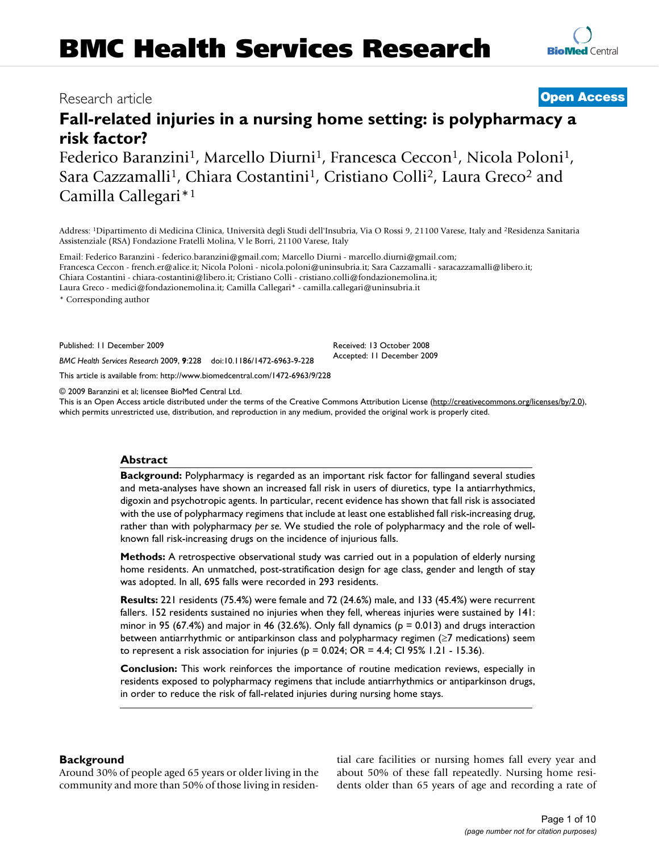# **BMC Health Services Research**

## Research article **[Open Access](http://www.biomedcentral.com/info/about/charter/)**

## **Fall-related injuries in a nursing home setting: is polypharmacy a risk factor?**

Federico Baranzini<sup>1</sup>, Marcello Diurni<sup>1</sup>, Francesca Ceccon<sup>1</sup>, Nicola Poloni<sup>1</sup>, Sara Cazzamalli<sup>1</sup>, Chiara Costantini<sup>1</sup>, Cristiano Colli<sup>2</sup>, Laura Greco<sup>2</sup> and Camilla Callegari\*1

Address: 1Dipartimento di Medicina Clinica, Università degli Studi dell'Insubria, Via O Rossi 9, 21100 Varese, Italy and 2Residenza Sanitaria Assistenziale (RSA) Fondazione Fratelli Molina, V le Borri, 21100 Varese, Italy

Email: Federico Baranzini - federico.baranzini@gmail.com; Marcello Diurni - marcello.diurni@gmail.com; Francesca Ceccon - french.er@alice.it; Nicola Poloni - nicola.poloni@uninsubria.it; Sara Cazzamalli - saracazzamalli@libero.it; Chiara Costantini - chiara-costantini@libero.it; Cristiano Colli - cristiano.colli@fondazionemolina.it; Laura Greco - medici@fondazionemolina.it; Camilla Callegari\* - camilla.callegari@uninsubria.it

\* Corresponding author

Published: 11 December 2009

*BMC Health Services Research* 2009, **9**:228 doi:10.1186/1472-6963-9-228

[This article is available from: http://www.biomedcentral.com/1472-6963/9/228](http://www.biomedcentral.com/1472-6963/9/228)

© 2009 Baranzini et al; licensee BioMed Central Ltd.

This is an Open Access article distributed under the terms of the Creative Commons Attribution License [\(http://creativecommons.org/licenses/by/2.0\)](http://creativecommons.org/licenses/by/2.0), which permits unrestricted use, distribution, and reproduction in any medium, provided the original work is properly cited.

Received: 13 October 2008 Accepted: 11 December 2009

#### **Abstract**

**Background:** Polypharmacy is regarded as an important risk factor for fallingand several studies and meta-analyses have shown an increased fall risk in users of diuretics, type 1a antiarrhythmics, digoxin and psychotropic agents. In particular, recent evidence has shown that fall risk is associated with the use of polypharmacy regimens that include at least one established fall risk-increasing drug, rather than with polypharmacy *per se*. We studied the role of polypharmacy and the role of wellknown fall risk-increasing drugs on the incidence of injurious falls.

**Methods:** A retrospective observational study was carried out in a population of elderly nursing home residents. An unmatched, post-stratification design for age class, gender and length of stay was adopted. In all, 695 falls were recorded in 293 residents.

**Results:** 221 residents (75.4%) were female and 72 (24.6%) male, and 133 (45.4%) were recurrent fallers. 152 residents sustained no injuries when they fell, whereas injuries were sustained by 141: minor in 95 (67.4%) and major in 46 (32.6%). Only fall dynamics ( $p = 0.013$ ) and drugs interaction between antiarrhythmic or antiparkinson class and polypharmacy regimen (≥7 medications) seem to represent a risk association for injuries ( $p = 0.024$ ; OR = 4.4; CI 95% 1.21 - 15.36).

**Conclusion:** This work reinforces the importance of routine medication reviews, especially in residents exposed to polypharmacy regimens that include antiarrhythmics or antiparkinson drugs, in order to reduce the risk of fall-related injuries during nursing home stays.

#### **Background**

Around 30% of people aged 65 years or older living in the community and more than 50% of those living in residential care facilities or nursing homes fall every year and about 50% of these fall repeatedly. Nursing home residents older than 65 years of age and recording a rate of

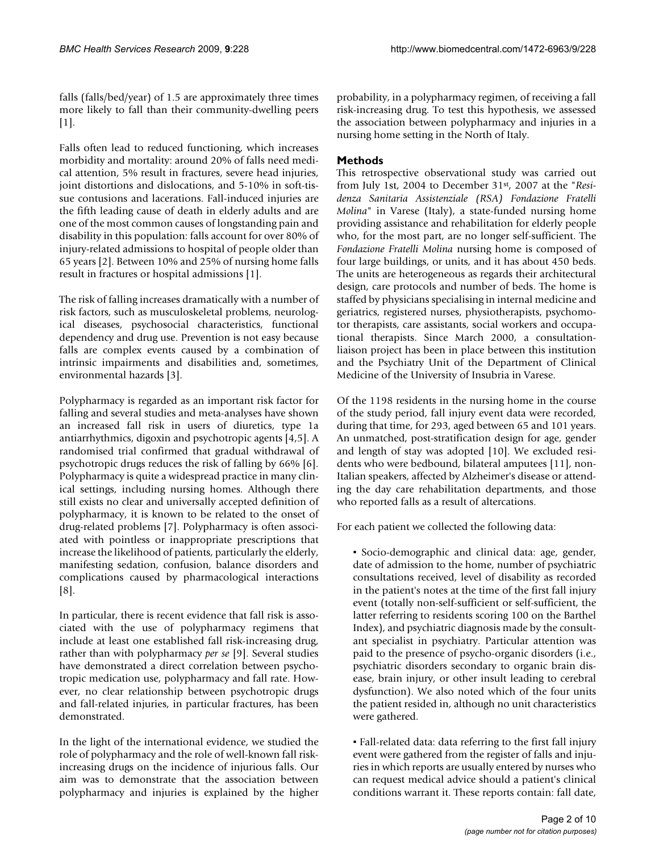falls (falls/bed/year) of 1.5 are approximately three times more likely to fall than their community-dwelling peers  $[1]$  $[1]$ .

Falls often lead to reduced functioning, which increases morbidity and mortality: around 20% of falls need medical attention, 5% result in fractures, severe head injuries, joint distortions and dislocations, and 5-10% in soft-tissue contusions and lacerations. Fall-induced injuries are the fifth leading cause of death in elderly adults and are one of the most common causes of longstanding pain and disability in this population: falls account for over 80% of injury-related admissions to hospital of people older than 65 years [[2](#page-8-1)]. Between 10% and 25% of nursing home falls result in fractures or hospital admissions [\[1](#page-8-0)].

The risk of falling increases dramatically with a number of risk factors, such as musculoskeletal problems, neurological diseases, psychosocial characteristics, functional dependency and drug use. Prevention is not easy because falls are complex events caused by a combination of intrinsic impairments and disabilities and, sometimes, environmental hazards [\[3\]](#page-8-2).

Polypharmacy is regarded as an important risk factor for falling and several studies and meta-analyses have shown an increased fall risk in users of diuretics, type 1a antiarrhythmics, digoxin and psychotropic agents [\[4,](#page-8-3)[5\]](#page-8-4). A randomised trial confirmed that gradual withdrawal of psychotropic drugs reduces the risk of falling by 66% [[6](#page-8-5)]. Polypharmacy is quite a widespread practice in many clinical settings, including nursing homes. Although there still exists no clear and universally accepted definition of polypharmacy, it is known to be related to the onset of drug-related problems [[7](#page-8-6)]. Polypharmacy is often associated with pointless or inappropriate prescriptions that increase the likelihood of patients, particularly the elderly, manifesting sedation, confusion, balance disorders and complications caused by pharmacological interactions [[8\]](#page-8-7).

In particular, there is recent evidence that fall risk is associated with the use of polypharmacy regimens that include at least one established fall risk-increasing drug, rather than with polypharmacy *per se* [[9](#page-8-8)]. Several studies have demonstrated a direct correlation between psychotropic medication use, polypharmacy and fall rate. However, no clear relationship between psychotropic drugs and fall-related injuries, in particular fractures, has been demonstrated.

In the light of the international evidence, we studied the role of polypharmacy and the role of well-known fall riskincreasing drugs on the incidence of injurious falls. Our aim was to demonstrate that the association between polypharmacy and injuries is explained by the higher probability, in a polypharmacy regimen, of receiving a fall risk-increasing drug. To test this hypothesis, we assessed the association between polypharmacy and injuries in a nursing home setting in the North of Italy.

### **Methods**

This retrospective observational study was carried out from July 1st, 2004 to December 31st, 2007 at the "*Residenza Sanitaria Assistenziale (RSA) Fondazione Fratelli Molina*" in Varese (Italy), a state-funded nursing home providing assistance and rehabilitation for elderly people who, for the most part, are no longer self-sufficient. The *Fondazione Fratelli Molina* nursing home is composed of four large buildings, or units, and it has about 450 beds. The units are heterogeneous as regards their architectural design, care protocols and number of beds. The home is staffed by physicians specialising in internal medicine and geriatrics, registered nurses, physiotherapists, psychomotor therapists, care assistants, social workers and occupational therapists. Since March 2000, a consultationliaison project has been in place between this institution and the Psychiatry Unit of the Department of Clinical Medicine of the University of Insubria in Varese.

Of the 1198 residents in the nursing home in the course of the study period, fall injury event data were recorded, during that time, for 293, aged between 65 and 101 years. An unmatched, post-stratification design for age, gender and length of stay was adopted [\[10](#page-8-9)]. We excluded residents who were bedbound, bilateral amputees [\[11](#page-8-10)], non-Italian speakers, affected by Alzheimer's disease or attending the day care rehabilitation departments, and those who reported falls as a result of altercations.

For each patient we collected the following data:

▪ Socio-demographic and clinical data: age, gender, date of admission to the home, number of psychiatric consultations received, level of disability as recorded in the patient's notes at the time of the first fall injury event (totally non-self-sufficient or self-sufficient, the latter referring to residents scoring 100 on the Barthel Index), and psychiatric diagnosis made by the consultant specialist in psychiatry. Particular attention was paid to the presence of psycho-organic disorders (i.e., psychiatric disorders secondary to organic brain disease, brain injury, or other insult leading to cerebral dysfunction). We also noted which of the four units the patient resided in, although no unit characteristics were gathered.

▪ Fall-related data: data referring to the first fall injury event were gathered from the register of falls and injuries in which reports are usually entered by nurses who can request medical advice should a patient's clinical conditions warrant it. These reports contain: fall date,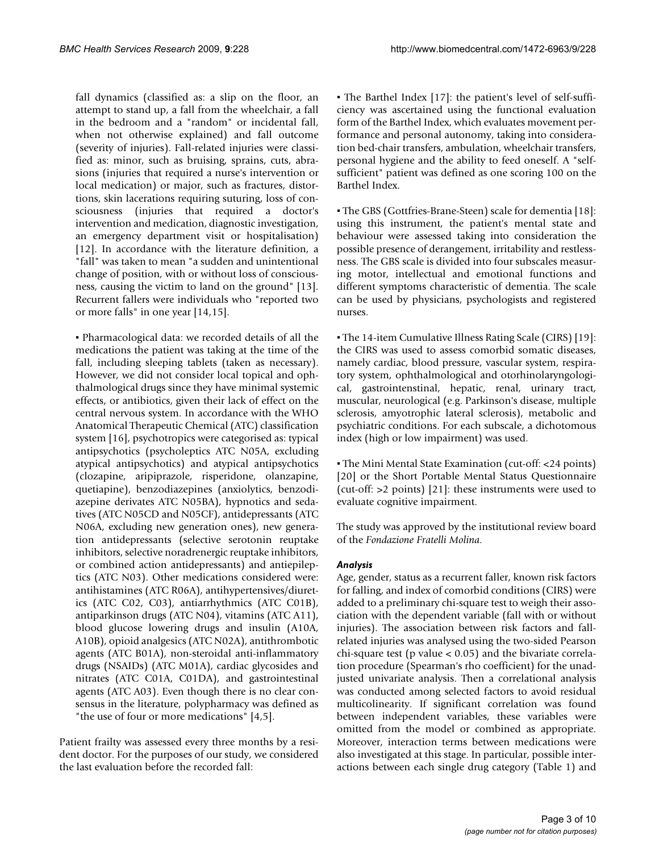fall dynamics (classified as: a slip on the floor, an attempt to stand up, a fall from the wheelchair, a fall in the bedroom and a "random" or incidental fall, when not otherwise explained) and fall outcome (severity of injuries). Fall-related injuries were classified as: minor, such as bruising, sprains, cuts, abrasions (injuries that required a nurse's intervention or local medication) or major, such as fractures, distortions, skin lacerations requiring suturing, loss of consciousness (injuries that required a doctor's intervention and medication, diagnostic investigation, an emergency department visit or hospitalisation) [[12](#page-9-0)]. In accordance with the literature definition, a "fall" was taken to mean "a sudden and unintentional change of position, with or without loss of consciousness, causing the victim to land on the ground" [\[13](#page-9-1)]. Recurrent fallers were individuals who "reported two or more falls" in one year [\[14](#page-9-2),[15](#page-9-3)].

▪ Pharmacological data: we recorded details of all the medications the patient was taking at the time of the fall, including sleeping tablets (taken as necessary). However, we did not consider local topical and ophthalmological drugs since they have minimal systemic effects, or antibiotics, given their lack of effect on the central nervous system. In accordance with the WHO Anatomical Therapeutic Chemical (ATC) classification system [\[16](#page-9-4)], psychotropics were categorised as: typical antipsychotics (psycholeptics ATC N05A, excluding atypical antipsychotics) and atypical antipsychotics (clozapine, aripiprazole, risperidone, olanzapine, quetiapine), benzodiazepines (anxiolytics, benzodiazepine derivates ATC N05BA), hypnotics and sedatives (ATC N05CD and N05CF), antidepressants (ATC N06A, excluding new generation ones), new generation antidepressants (selective serotonin reuptake inhibitors, selective noradrenergic reuptake inhibitors, or combined action antidepressants) and antiepileptics (ATC N03). Other medications considered were: antihistamines (ATC R06A), antihypertensives/diuretics (ATC C02, C03), antiarrhythmics (ATC C01B), antiparkinson drugs (ATC N04), vitamins (ATC A11), blood glucose lowering drugs and insulin (A10A, A10B), opioid analgesics (ATC N02A), antithrombotic agents (ATC B01A), non-steroidal anti-inflammatory drugs (NSAIDs) (ATC M01A), cardiac glycosides and nitrates (ATC C01A, C01DA), and gastrointestinal agents (ATC A03). Even though there is no clear consensus in the literature, polypharmacy was defined as "the use of four or more medications" [\[4,](#page-8-3)[5](#page-8-4)].

Patient frailty was assessed every three months by a resident doctor. For the purposes of our study, we considered the last evaluation before the recorded fall:

▪ The Barthel Index [[17](#page-9-5)]: the patient's level of self-sufficiency was ascertained using the functional evaluation form of the Barthel Index, which evaluates movement performance and personal autonomy, taking into consideration bed-chair transfers, ambulation, wheelchair transfers, personal hygiene and the ability to feed oneself. A "selfsufficient" patient was defined as one scoring 100 on the Barthel Index.

▪ The GBS (Gottfries-Brane-Steen) scale for dementia [\[18](#page-9-6)]: using this instrument, the patient's mental state and behaviour were assessed taking into consideration the possible presence of derangement, irritability and restlessness. The GBS scale is divided into four subscales measuring motor, intellectual and emotional functions and different symptoms characteristic of dementia. The scale can be used by physicians, psychologists and registered nurses.

▪ The 14-item Cumulative Illness Rating Scale (CIRS) [\[19](#page-9-7)]: the CIRS was used to assess comorbid somatic diseases, namely cardiac, blood pressure, vascular system, respiratory system, ophthalmological and otorhinolaryngological, gastrointenstinal, hepatic, renal, urinary tract, muscular, neurological (e.g. Parkinson's disease, multiple sclerosis, amyotrophic lateral sclerosis), metabolic and psychiatric conditions. For each subscale, a dichotomous index (high or low impairment) was used.

▪ The Mini Mental State Examination (cut-off: <24 points) [[20](#page-9-8)] or the Short Portable Mental Status Questionnaire (cut-off: >2 points) [[21](#page-9-9)]: these instruments were used to evaluate cognitive impairment.

The study was approved by the institutional review board of the *Fondazione Fratelli Molina*.

#### *Analysis*

Age, gender, status as a recurrent faller, known risk factors for falling, and index of comorbid conditions (CIRS) were added to a preliminary chi-square test to weigh their association with the dependent variable (fall with or without injuries). The association between risk factors and fallrelated injuries was analysed using the two-sided Pearson chi-square test ( $p$  value  $< 0.05$ ) and the bivariate correlation procedure (Spearman's rho coefficient) for the unadjusted univariate analysis. Then a correlational analysis was conducted among selected factors to avoid residual multicolinearity. If significant correlation was found between independent variables, these variables were omitted from the model or combined as appropriate. Moreover, interaction terms between medications were also investigated at this stage. In particular, possible interactions between each single drug category (Table [1\)](#page-3-0) and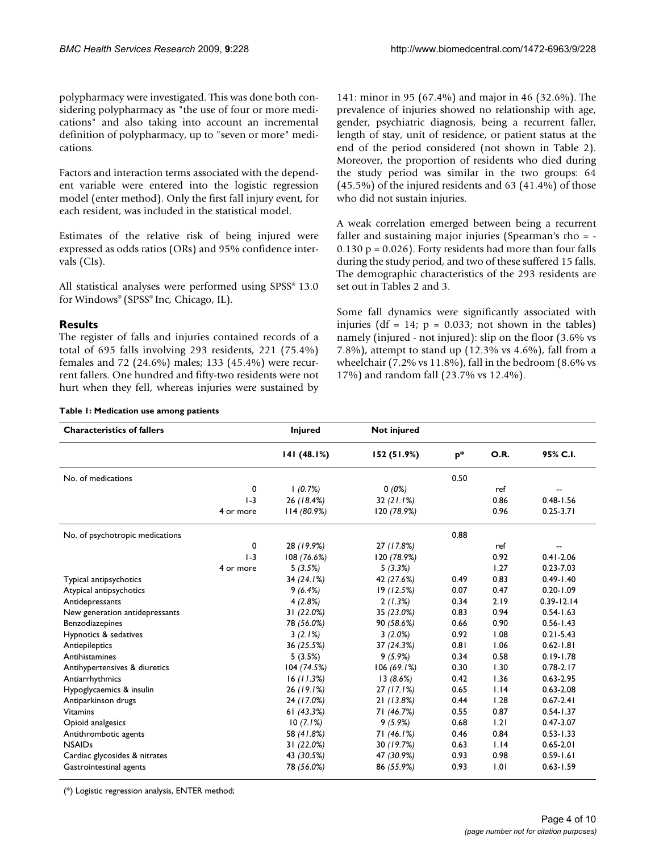polypharmacy were investigated. This was done both considering polypharmacy as "the use of four or more medications" and also taking into account an incremental definition of polypharmacy, up to "seven or more" medications.

Factors and interaction terms associated with the dependent variable were entered into the logistic regression model (enter method). Only the first fall injury event, for each resident, was included in the statistical model.

Estimates of the relative risk of being injured were expressed as odds ratios (ORs) and 95% confidence intervals (CIs).

All statistical analyses were performed using SPSS® 13.0 for Windows® (SPSS® Inc, Chicago, IL).

#### **Results**

The register of falls and injuries contained records of a total of 695 falls involving 293 residents, 221 (75.4%) females and 72 (24.6%) males; 133 (45.4%) were recurrent fallers. One hundred and fifty-two residents were not hurt when they fell, whereas injuries were sustained by 141: minor in 95 (67.4%) and major in 46 (32.6%). The prevalence of injuries showed no relationship with age, gender, psychiatric diagnosis, being a recurrent faller, length of stay, unit of residence, or patient status at the end of the period considered (not shown in Table [2\)](#page-4-0). Moreover, the proportion of residents who died during the study period was similar in the two groups: 64 (45.5%) of the injured residents and 63 (41.4%) of those who did not sustain injuries.

A weak correlation emerged between being a recurrent faller and sustaining major injuries (Spearman's rho = - 0.130 p = 0.026). Forty residents had more than four falls during the study period, and two of these suffered 15 falls. The demographic characteristics of the 293 residents are set out in Tables [2](#page-4-0) and [3](#page-4-1).

Some fall dynamics were significantly associated with injuries (df =  $14$ ; p = 0.033; not shown in the tables) namely (injured - not injured): slip on the floor (3.6% vs 7.8%), attempt to stand up (12.3% vs 4.6%), fall from a wheelchair (7.2% vs 11.8%), fall in the bedroom (8.6% vs 17%) and random fall (23.7% vs 12.4%).

#### <span id="page-3-0"></span>**Table 1: Medication use among patients**

| <b>Characteristics of fallers</b> | <b>Injured</b> | <b>Not injured</b> |      |      |                |
|-----------------------------------|----------------|--------------------|------|------|----------------|
|                                   | 141(48.1%)     | 152(51.9%)         | $p*$ | O.R. | 95% C.I.       |
| No. of medications                |                |                    | 0.50 |      |                |
| 0                                 | (0.7%)         | $0(0\%)$           |      | ref  |                |
| $1-3$                             | 26 (18.4%)     | 32(21.1%)          |      | 0.86 | $0.48 - 1.56$  |
| 4 or more                         | 114(80.9%)     | 120 (78.9%)        |      | 0.96 | $0.25 - 3.71$  |
| No. of psychotropic medications   |                |                    | 0.88 |      |                |
| 0                                 | 28 (19.9%)     | 27 (17.8%)         |      | ref  |                |
| $1 - 3$                           | 108 (76.6%)    | 120 (78.9%)        |      | 0.92 | $0.41 - 2.06$  |
| 4 or more                         | 5(3.5%)        | 5(3.3%)            |      | 1.27 | $0.23 - 7.03$  |
| Typical antipsychotics            | 34(24.1%)      | 42 (27.6%)         | 0.49 | 0.83 | $0.49 - 1.40$  |
| Atypical antipsychotics           | 9(6.4%)        | 19(12.5%)          | 0.07 | 0.47 | $0.20 - 1.09$  |
| Antidepressants                   | 4(2.8%)        | 2(1.3%)            | 0.34 | 2.19 | $0.39 - 12.14$ |
| New generation antidepressants    | 31 (22.0%)     | 35 (23.0%)         | 0.83 | 0.94 | $0.54 - 1.63$  |
| Benzodiazepines                   | 78 (56.0%)     | 90 (58.6%)         | 0.66 | 0.90 | $0.56 - 1.43$  |
| Hypnotics & sedatives             | 3(2.1%)        | 3(2.0%)            | 0.92 | 1.08 | $0.21 - 5.43$  |
| Antiepileptics                    | 36 (25.5%)     | 37 (24.3%)         | 0.81 | 1.06 | $0.62 - 1.81$  |
| Antihistamines                    | 5(3.5%)        | 9(5.9%)            | 0.34 | 0.58 | $0.19 - 1.78$  |
| Antihypertensives & diuretics     | 104(74.5%)     | 106(69.1%)         | 0.30 | 1.30 | $0.78 - 2.17$  |
| Antiarrhythmics                   | 16(11.3%)      | 13(8.6%)           | 0.42 | 1.36 | $0.63 - 2.95$  |
| Hypoglycaemics & insulin          | 26(19.1%)      | 27(17.1%)          | 0.65 | 1.14 | $0.63 - 2.08$  |
| Antiparkinson drugs               | 24 (17.0%)     | 21(13.8%)          | 0.44 | 1.28 | $0.67 - 2.41$  |
| <b>Vitamins</b>                   | 61(43.3%)      | 71 (46.7%)         | 0.55 | 0.87 | $0.54 - 1.37$  |
| Opioid analgesics                 | 10(7.1%)       | 9(5.9%)            | 0.68 | 1.21 | $0.47 - 3.07$  |
| Antithrombotic agents             | 58 (41.8%)     | 71(46.1%)          | 0.46 | 0.84 | $0.53 - 1.33$  |
| <b>NSAIDs</b>                     | 31 (22.0%)     | 30 (19.7%)         | 0.63 | 1.14 | $0.65 - 2.01$  |
| Cardiac glycosides & nitrates     | 43 (30.5%)     | 47 (30.9%)         | 0.93 | 0.98 | $0.59 - 1.61$  |
| Gastrointestinal agents           | 78 (56.0%)     | 86 (55.9%)         | 0.93 | 1.01 | $0.63 - 1.59$  |

(\*) Logistic regression analysis, ENTER method;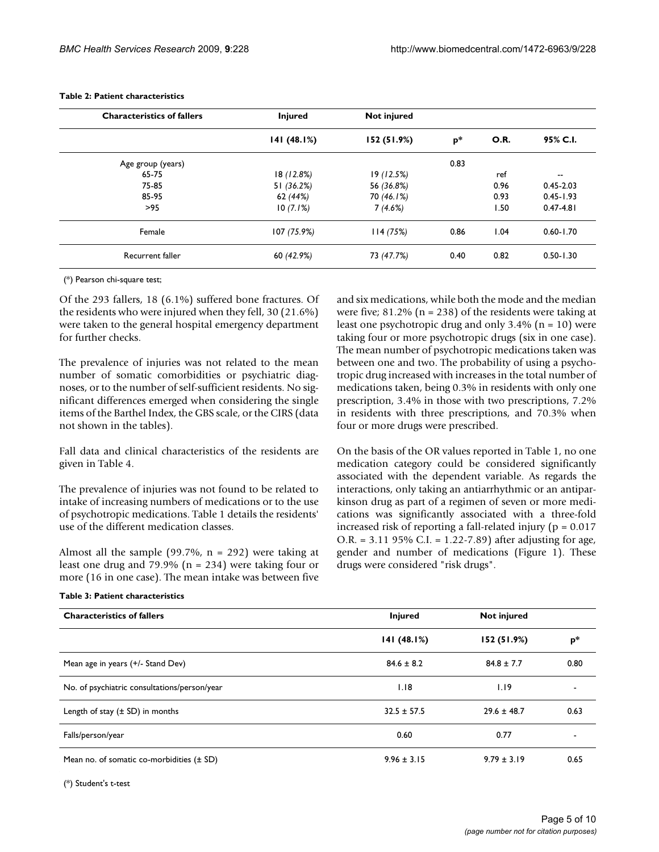| <b>Characteristics of fallers</b> | <b>Injured</b> | Not injured |      |             |               |
|-----------------------------------|----------------|-------------|------|-------------|---------------|
|                                   | 141(48.1%)     | 152(51.9%)  | $p*$ | <b>O.R.</b> | 95% C.I.      |
| Age group (years)                 |                |             | 0.83 |             |               |
| 65-75                             | 18(12.8%)      | 19(12.5%)   |      | ref         | $- -$         |
| 75-85                             | 51 (36.2%)     | 56 (36.8%)  |      | 0.96        | $0.45 - 2.03$ |
| 85-95                             | 62 (44%)       | 70 (46.1%)  |      | 0.93        | $0.45 - 1.93$ |
| >95                               | 10(7.1%)       | 7(4.6%)     |      | 1.50        | $0.47 - 4.81$ |
| Female                            | 107 (75.9%)    | 114(75%)    | 0.86 | 1.04        | $0.60 - 1.70$ |
| Recurrent faller                  | 60 (42.9%)     | 73 (47.7%)  | 0.40 | 0.82        | $0.50 - 1.30$ |

#### <span id="page-4-0"></span>**Table 2: Patient characteristics**

(\*) Pearson chi-square test;

Of the 293 fallers, 18 (6.1%) suffered bone fractures. Of the residents who were injured when they fell, 30 (21.6%) were taken to the general hospital emergency department for further checks.

The prevalence of injuries was not related to the mean number of somatic comorbidities or psychiatric diagnoses, or to the number of self-sufficient residents. No significant differences emerged when considering the single items of the Barthel Index, the GBS scale, or the CIRS (data not shown in the tables).

Fall data and clinical characteristics of the residents are given in Table [4](#page-5-0).

The prevalence of injuries was not found to be related to intake of increasing numbers of medications or to the use of psychotropic medications. Table [1](#page-3-0) details the residents' use of the different medication classes.

Almost all the sample (99.7%,  $n = 292$ ) were taking at least one drug and 79.9% ( $n = 234$ ) were taking four or more (16 in one case). The mean intake was between five

#### <span id="page-4-1"></span>**Table 3: Patient characteristics**

and six medications, while both the mode and the median were five;  $81.2\%$  (n = 238) of the residents were taking at least one psychotropic drug and only  $3.4\%$  (n = 10) were taking four or more psychotropic drugs (six in one case). The mean number of psychotropic medications taken was between one and two. The probability of using a psychotropic drug increased with increases in the total number of medications taken, being 0.3% in residents with only one prescription, 3.4% in those with two prescriptions, 7.2% in residents with three prescriptions, and 70.3% when four or more drugs were prescribed.

On the basis of the OR values reported in Table [1](#page-3-0), no one medication category could be considered significantly associated with the dependent variable. As regards the interactions, only taking an antiarrhythmic or an antiparkinson drug as part of a regimen of seven or more medications was significantly associated with a three-fold increased risk of reporting a fall-related injury ( $p = 0.017$ O.R. = 3.11 95% C.I. = 1.22-7.89) after adjusting for age, gender and number of medications (Figure [1](#page-6-0)). These drugs were considered "risk drugs".

| <b>Characteristics of fallers</b>            | <b>Injured</b>  | Not injured     |      |
|----------------------------------------------|-----------------|-----------------|------|
|                                              | 141(48.1%)      | 152 (51.9%)     | $p*$ |
| Mean age in years (+/- Stand Dev)            | $84.6 \pm 8.2$  | $84.8 \pm 7.7$  | 0.80 |
| No. of psychiatric consultations/person/year | 1.18            | 1.19            |      |
| Length of stay $(\pm$ SD) in months          | $32.5 \pm 57.5$ | $29.6 \pm 48.7$ | 0.63 |
| Falls/person/year                            | 0.60            | 0.77            |      |
| Mean no. of somatic co-morbidities (± SD)    | $9.96 \pm 3.15$ | $9.79 \pm 3.19$ | 0.65 |

(\*) Student's t-test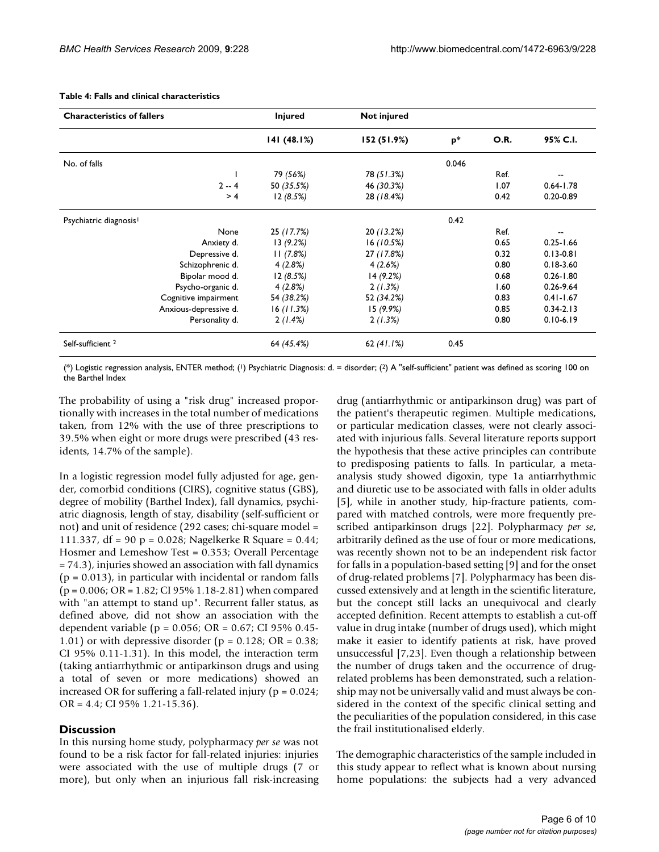| <b>Characteristics of fallers</b>  | <b>Injured</b> | Not injured   |                |      |               |
|------------------------------------|----------------|---------------|----------------|------|---------------|
|                                    | 141(48.1%)     | 152 (51.9%)   | $\mathbf{p}^*$ | O.R. | 95% C.I.      |
| No. of falls                       |                |               | 0.046          |      |               |
|                                    | 79 (56%)       | 78 (51.3%)    |                | Ref. |               |
| $2 - 4$                            | 50 (35.5%)     | 46 (30.3%)    |                | 1.07 | $0.64 - 1.78$ |
| >4                                 | 12(8.5%)       | 28 (18.4%)    |                | 0.42 | $0.20 - 0.89$ |
| Psychiatric diagnosis <sup>1</sup> |                |               | 0.42           |      |               |
| None                               | 25 (17.7%)     | 20 (13.2%)    |                | Ref. | $- -$         |
| Anxiety d.                         | 13(9.2%)       | 16(10.5%)     |                | 0.65 | $0.25 - 1.66$ |
| Depressive d.                      | 11(7.8%)       | 27 (17.8%)    |                | 0.32 | $0.13 - 0.81$ |
| Schizophrenic d.                   | 4(2.8%)        | 4(2.6%)       |                | 0.80 | $0.18 - 3.60$ |
| Bipolar mood d.                    | 12(8.5%)       | 14(9.2%)      |                | 0.68 | $0.26 - 1.80$ |
| Psycho-organic d.                  | 4(2.8%)        | 2(1.3%)       |                | 1.60 | $0.26 - 9.64$ |
| Cognitive impairment               | 54 (38.2%)     | 52 (34.2%)    |                | 0.83 | $0.41 - 1.67$ |
| Anxious-depressive d.              | 16(11.3%)      | 15(9.9%)      |                | 0.85 | $0.34 - 2.13$ |
| Personality d.                     | 2(1.4%)        | 2(1.3%)       |                | 0.80 | $0.10 - 6.19$ |
| Self-sufficient <sup>2</sup>       | 64 (45.4%)     | 62 $(41.1\%)$ | 0.45           |      |               |

#### <span id="page-5-0"></span>**Table 4: Falls and clinical characteristics**

(\*) Logistic regression analysis, ENTER method; (1) Psychiatric Diagnosis: d. = disorder; (2) A "self-sufficient" patient was defined as scoring 100 on the Barthel Index

The probability of using a "risk drug" increased proportionally with increases in the total number of medications taken, from 12% with the use of three prescriptions to 39.5% when eight or more drugs were prescribed (43 residents, 14.7% of the sample).

In a logistic regression model fully adjusted for age, gender, comorbid conditions (CIRS), cognitive status (GBS), degree of mobility (Barthel Index), fall dynamics, psychiatric diagnosis, length of stay, disability (self-sufficient or not) and unit of residence (292 cases; chi-square model = 111.337, df = 90 p = 0.028; Nagelkerke R Square = 0.44; Hosmer and Lemeshow Test = 0.353; Overall Percentage = 74.3), injuries showed an association with fall dynamics  $(p = 0.013)$ , in particular with incidental or random falls (p = 0.006; OR = 1.82; CI 95% 1.18-2.81) when compared with "an attempt to stand up". Recurrent faller status, as defined above, did not show an association with the dependent variable (p = 0.056; OR = 0.67; CI 95% 0.45- 1.01) or with depressive disorder ( $p = 0.128$ ; OR = 0.38; CI 95% 0.11-1.31). In this model, the interaction term (taking antiarrhythmic or antiparkinson drugs and using a total of seven or more medications) showed an increased OR for suffering a fall-related injury ( $p = 0.024$ ; OR = 4.4; CI 95% 1.21-15.36).

#### **Discussion**

In this nursing home study, polypharmacy *per se* was not found to be a risk factor for fall-related injuries: injuries were associated with the use of multiple drugs (7 or more), but only when an injurious fall risk-increasing

drug (antiarrhythmic or antiparkinson drug) was part of the patient's therapeutic regimen. Multiple medications, or particular medication classes, were not clearly associated with injurious falls. Several literature reports support the hypothesis that these active principles can contribute to predisposing patients to falls. In particular, a metaanalysis study showed digoxin, type 1a antiarrhythmic and diuretic use to be associated with falls in older adults [[5\]](#page-8-4), while in another study, hip-fracture patients, compared with matched controls, were more frequently prescribed antiparkinson drugs [[22\]](#page-9-10). Polypharmacy *per se*, arbitrarily defined as the use of four or more medications, was recently shown not to be an independent risk factor for falls in a population-based setting [\[9\]](#page-8-8) and for the onset of drug-related problems [\[7\]](#page-8-6). Polypharmacy has been discussed extensively and at length in the scientific literature, but the concept still lacks an unequivocal and clearly accepted definition. Recent attempts to establish a cut-off value in drug intake (number of drugs used), which might make it easier to identify patients at risk, have proved unsuccessful [\[7,](#page-8-6)[23](#page-9-11)]. Even though a relationship between the number of drugs taken and the occurrence of drugrelated problems has been demonstrated, such a relationship may not be universally valid and must always be considered in the context of the specific clinical setting and the peculiarities of the population considered, in this case the frail institutionalised elderly.

The demographic characteristics of the sample included in this study appear to reflect what is known about nursing home populations: the subjects had a very advanced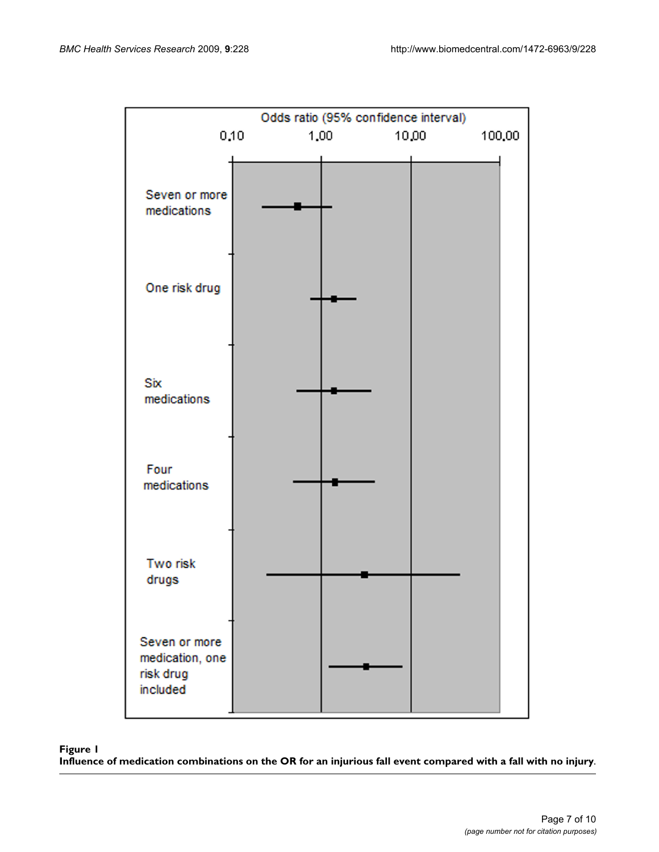<span id="page-6-0"></span>

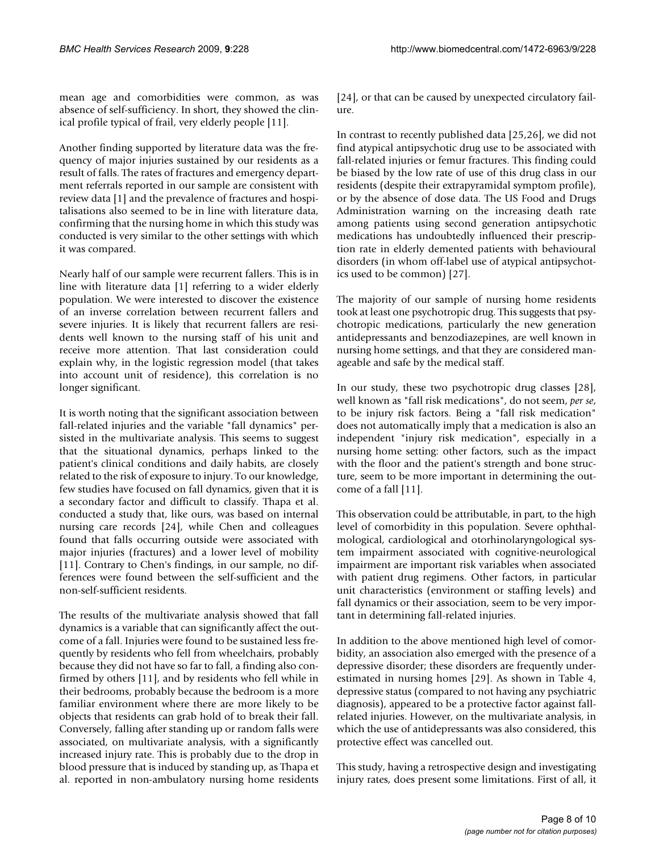mean age and comorbidities were common, as was absence of self-sufficiency. In short, they showed the clinical profile typical of frail, very elderly people [[11\]](#page-8-10).

Another finding supported by literature data was the frequency of major injuries sustained by our residents as a result of falls. The rates of fractures and emergency department referrals reported in our sample are consistent with review data [[1](#page-8-0)] and the prevalence of fractures and hospitalisations also seemed to be in line with literature data, confirming that the nursing home in which this study was conducted is very similar to the other settings with which it was compared.

Nearly half of our sample were recurrent fallers. This is in line with literature data [[1](#page-8-0)] referring to a wider elderly population. We were interested to discover the existence of an inverse correlation between recurrent fallers and severe injuries. It is likely that recurrent fallers are residents well known to the nursing staff of his unit and receive more attention. That last consideration could explain why, in the logistic regression model (that takes into account unit of residence), this correlation is no longer significant.

It is worth noting that the significant association between fall-related injuries and the variable "fall dynamics" persisted in the multivariate analysis. This seems to suggest that the situational dynamics, perhaps linked to the patient's clinical conditions and daily habits, are closely related to the risk of exposure to injury. To our knowledge, few studies have focused on fall dynamics, given that it is a secondary factor and difficult to classify. Thapa et al. conducted a study that, like ours, was based on internal nursing care records [\[24](#page-9-12)], while Chen and colleagues found that falls occurring outside were associated with major injuries (fractures) and a lower level of mobility [[11](#page-8-10)]. Contrary to Chen's findings, in our sample, no differences were found between the self-sufficient and the non-self-sufficient residents.

The results of the multivariate analysis showed that fall dynamics is a variable that can significantly affect the outcome of a fall. Injuries were found to be sustained less frequently by residents who fell from wheelchairs, probably because they did not have so far to fall, a finding also confirmed by others [[11\]](#page-8-10), and by residents who fell while in their bedrooms, probably because the bedroom is a more familiar environment where there are more likely to be objects that residents can grab hold of to break their fall. Conversely, falling after standing up or random falls were associated, on multivariate analysis, with a significantly increased injury rate. This is probably due to the drop in blood pressure that is induced by standing up, as Thapa et al. reported in non-ambulatory nursing home residents [[24](#page-9-12)], or that can be caused by unexpected circulatory failure.

In contrast to recently published data [\[25](#page-9-13)[,26](#page-9-14)], we did not find atypical antipsychotic drug use to be associated with fall-related injuries or femur fractures. This finding could be biased by the low rate of use of this drug class in our residents (despite their extrapyramidal symptom profile), or by the absence of dose data. The US Food and Drugs Administration warning on the increasing death rate among patients using second generation antipsychotic medications has undoubtedly influenced their prescription rate in elderly demented patients with behavioural disorders (in whom off-label use of atypical antipsychotics used to be common) [[27](#page-9-15)].

The majority of our sample of nursing home residents took at least one psychotropic drug. This suggests that psychotropic medications, particularly the new generation antidepressants and benzodiazepines, are well known in nursing home settings, and that they are considered manageable and safe by the medical staff.

In our study, these two psychotropic drug classes [\[28](#page-9-16)], well known as "fall risk medications", do not seem, *per se*, to be injury risk factors. Being a "fall risk medication" does not automatically imply that a medication is also an independent "injury risk medication", especially in a nursing home setting: other factors, such as the impact with the floor and the patient's strength and bone structure, seem to be more important in determining the outcome of a fall [\[11](#page-8-10)].

This observation could be attributable, in part, to the high level of comorbidity in this population. Severe ophthalmological, cardiological and otorhinolaryngological system impairment associated with cognitive-neurological impairment are important risk variables when associated with patient drug regimens. Other factors, in particular unit characteristics (environment or staffing levels) and fall dynamics or their association, seem to be very important in determining fall-related injuries.

In addition to the above mentioned high level of comorbidity, an association also emerged with the presence of a depressive disorder; these disorders are frequently underestimated in nursing homes [\[29\]](#page-9-17). As shown in Table [4,](#page-5-0) depressive status (compared to not having any psychiatric diagnosis), appeared to be a protective factor against fallrelated injuries. However, on the multivariate analysis, in which the use of antidepressants was also considered, this protective effect was cancelled out.

This study, having a retrospective design and investigating injury rates, does present some limitations. First of all, it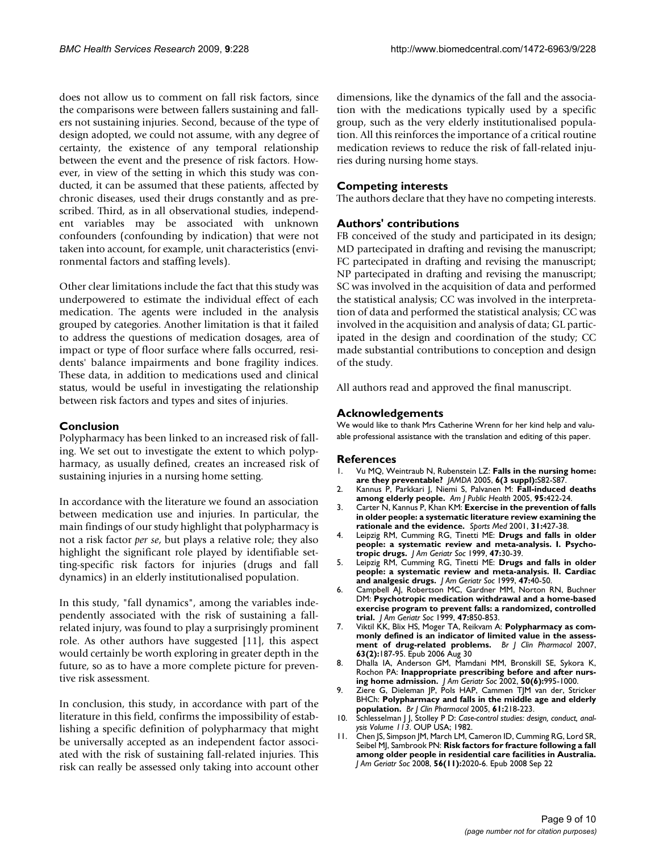does not allow us to comment on fall risk factors, since the comparisons were between fallers sustaining and fallers not sustaining injuries. Second, because of the type of design adopted, we could not assume, with any degree of certainty, the existence of any temporal relationship between the event and the presence of risk factors. However, in view of the setting in which this study was conducted, it can be assumed that these patients, affected by chronic diseases, used their drugs constantly and as prescribed. Third, as in all observational studies, independent variables may be associated with unknown confounders (confounding by indication) that were not taken into account, for example, unit characteristics (environmental factors and staffing levels).

Other clear limitations include the fact that this study was underpowered to estimate the individual effect of each medication. The agents were included in the analysis grouped by categories. Another limitation is that it failed to address the questions of medication dosages, area of impact or type of floor surface where falls occurred, residents' balance impairments and bone fragility indices. These data, in addition to medications used and clinical status, would be useful in investigating the relationship between risk factors and types and sites of injuries.

#### **Conclusion**

Polypharmacy has been linked to an increased risk of falling. We set out to investigate the extent to which polypharmacy, as usually defined, creates an increased risk of sustaining injuries in a nursing home setting.

In accordance with the literature we found an association between medication use and injuries. In particular, the main findings of our study highlight that polypharmacy is not a risk factor *per se*, but plays a relative role; they also highlight the significant role played by identifiable setting-specific risk factors for injuries (drugs and fall dynamics) in an elderly institutionalised population.

In this study, "fall dynamics", among the variables independently associated with the risk of sustaining a fallrelated injury, was found to play a surprisingly prominent role. As other authors have suggested [[11\]](#page-8-10), this aspect would certainly be worth exploring in greater depth in the future, so as to have a more complete picture for preventive risk assessment.

In conclusion, this study, in accordance with part of the literature in this field, confirms the impossibility of establishing a specific definition of polypharmacy that might be universally accepted as an independent factor associated with the risk of sustaining fall-related injuries. This risk can really be assessed only taking into account other dimensions, like the dynamics of the fall and the association with the medications typically used by a specific group, such as the very elderly institutionalised population. All this reinforces the importance of a critical routine medication reviews to reduce the risk of fall-related injuries during nursing home stays.

#### **Competing interests**

The authors declare that they have no competing interests.

#### **Authors' contributions**

FB conceived of the study and participated in its design; MD partecipated in drafting and revising the manuscript; FC partecipated in drafting and revising the manuscript; NP partecipated in drafting and revising the manuscript; SC was involved in the acquisition of data and performed the statistical analysis; CC was involved in the interpretation of data and performed the statistical analysis; CC was involved in the acquisition and analysis of data; GL participated in the design and coordination of the study; CC made substantial contributions to conception and design of the study.

All authors read and approved the final manuscript.

#### **Acknowledgements**

We would like to thank Mrs Catherine Wrenn for her kind help and valuable professional assistance with the translation and editing of this paper.

#### **References**

- <span id="page-8-0"></span>1. Vu MQ, Weintraub N, Rubenstein LZ: **Falls in the nursing home: are they preventable?** *JAMDA* 2005, **6(3 suppl):**S82-S87.
- <span id="page-8-1"></span>2. Kannus P, Parkkari J, Niemi S, Palvanen M: **[Fall-induced deaths](http://www.ncbi.nlm.nih.gov/entrez/query.fcgi?cmd=Retrieve&db=PubMed&dopt=Abstract&list_uids=15727970) [among elderly people.](http://www.ncbi.nlm.nih.gov/entrez/query.fcgi?cmd=Retrieve&db=PubMed&dopt=Abstract&list_uids=15727970)** *Am J Public Health* 2005, **95:**422-24.
- <span id="page-8-2"></span>3. Carter N, Kannus P, Khan KM: **[Exercise in the prevention of falls](http://www.ncbi.nlm.nih.gov/entrez/query.fcgi?cmd=Retrieve&db=PubMed&dopt=Abstract&list_uids=11394562) [in older people: a systematic literature review examining the](http://www.ncbi.nlm.nih.gov/entrez/query.fcgi?cmd=Retrieve&db=PubMed&dopt=Abstract&list_uids=11394562) [rationale and the evidence.](http://www.ncbi.nlm.nih.gov/entrez/query.fcgi?cmd=Retrieve&db=PubMed&dopt=Abstract&list_uids=11394562)** *Sports Med* 2001, **31:**427-38.
- <span id="page-8-3"></span>4. Leipzig RM, Cumming RG, Tinetti ME: **[Drugs and falls in older](http://www.ncbi.nlm.nih.gov/entrez/query.fcgi?cmd=Retrieve&db=PubMed&dopt=Abstract&list_uids=9920227) [people: a systematic review and meta-analysis. I. Psycho](http://www.ncbi.nlm.nih.gov/entrez/query.fcgi?cmd=Retrieve&db=PubMed&dopt=Abstract&list_uids=9920227)[tropic drugs.](http://www.ncbi.nlm.nih.gov/entrez/query.fcgi?cmd=Retrieve&db=PubMed&dopt=Abstract&list_uids=9920227)** *J Am Geriatr Soc* 1999, **47:**30-39.
- <span id="page-8-4"></span>5. Leipzig RM, Cumming RG, Tinetti ME: **[Drugs and falls in older](http://www.ncbi.nlm.nih.gov/entrez/query.fcgi?cmd=Retrieve&db=PubMed&dopt=Abstract&list_uids=9920228) [people: a systematic review and meta-analysis. II. Cardiac](http://www.ncbi.nlm.nih.gov/entrez/query.fcgi?cmd=Retrieve&db=PubMed&dopt=Abstract&list_uids=9920228) [and analgesic drugs.](http://www.ncbi.nlm.nih.gov/entrez/query.fcgi?cmd=Retrieve&db=PubMed&dopt=Abstract&list_uids=9920228)** *J Am Geriatr Soc* 1999, **47:**40-50.
- <span id="page-8-5"></span>6. Campbell AJ, Robertson MC, Gardner MM, Norton RN, Buchner DM: **[Psychotropic medication withdrawal and a home-based](http://www.ncbi.nlm.nih.gov/entrez/query.fcgi?cmd=Retrieve&db=PubMed&dopt=Abstract&list_uids=10404930) [exercise program to prevent falls: a randomized, controlled](http://www.ncbi.nlm.nih.gov/entrez/query.fcgi?cmd=Retrieve&db=PubMed&dopt=Abstract&list_uids=10404930) [trial.](http://www.ncbi.nlm.nih.gov/entrez/query.fcgi?cmd=Retrieve&db=PubMed&dopt=Abstract&list_uids=10404930)** *J Am Geriatr Soc* 1999, **47:**850-853.
- <span id="page-8-6"></span>7. Viktil KK, Blix HS, Moger TA, Reikvam A: **[Polypharmacy as com](http://www.ncbi.nlm.nih.gov/entrez/query.fcgi?cmd=Retrieve&db=PubMed&dopt=Abstract&list_uids=16939529)[monly defined is an indicator of limited value in the assess](http://www.ncbi.nlm.nih.gov/entrez/query.fcgi?cmd=Retrieve&db=PubMed&dopt=Abstract&list_uids=16939529)[ment of drug-related problems.](http://www.ncbi.nlm.nih.gov/entrez/query.fcgi?cmd=Retrieve&db=PubMed&dopt=Abstract&list_uids=16939529)** *Br J Clin Pharmacol* 2007, **63(2):**187-95. Epub 2006 Aug 30
- <span id="page-8-7"></span>8. Dhalla IA, Anderson GM, Mamdani MM, Bronskill SE, Sykora K, Rochon PA: **[Inappropriate prescribing before and after nurs](http://www.ncbi.nlm.nih.gov/entrez/query.fcgi?cmd=Retrieve&db=PubMed&dopt=Abstract&list_uids=12110057)[ing home admission.](http://www.ncbi.nlm.nih.gov/entrez/query.fcgi?cmd=Retrieve&db=PubMed&dopt=Abstract&list_uids=12110057)** *J Am Geriatr Soc* 2002, **50(6):**995-1000.
- <span id="page-8-8"></span>9. Ziere G, Dieleman JP, Pols HAP, Cammen TJM van der, Stricker BHCh: **Polypharmacy and falls in the middle age and elderly population.** *Br J Clin Pharmacol* 2005, **61:**218-223.
- <span id="page-8-9"></span>10. Schlesselman J J, Stolley P D: *Case-control studies: design, conduct, analysis Volume 113*. OUP USA; 1982.
- <span id="page-8-10"></span>11. Chen JS, Simpson JM, March LM, Cameron ID, Cumming RG, Lord SR, Seibel MJ, Sambrook PN: **[Risk factors for fracture following a fall](http://www.ncbi.nlm.nih.gov/entrez/query.fcgi?cmd=Retrieve&db=PubMed&dopt=Abstract&list_uids=18811606) [among older people in residential care facilities in Australia.](http://www.ncbi.nlm.nih.gov/entrez/query.fcgi?cmd=Retrieve&db=PubMed&dopt=Abstract&list_uids=18811606)** *J Am Geriatr Soc* 2008, **56(11):**2020-6. Epub 2008 Sep 22